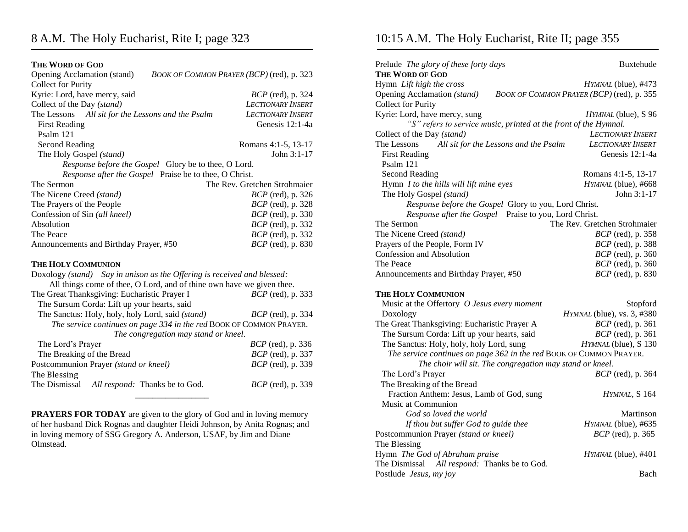## **THE WORD OF GOD**

| Opening Acclamation (stand)<br>BOOK OF COMMON PRAYER (BCP) (red), p. 323 |                          |  |  |  |
|--------------------------------------------------------------------------|--------------------------|--|--|--|
| <b>Collect for Purity</b>                                                |                          |  |  |  |
| Kyrie: Lord, have mercy, said                                            | <i>BCP</i> (red), p. 324 |  |  |  |
| Collect of the Day (stand)                                               | <b>LECTIONARY INSERT</b> |  |  |  |
| The Lessons All sit for the Lessons and the Psalm                        | <b>LECTIONARY INSERT</b> |  |  |  |
| <b>First Reading</b>                                                     | Genesis 12:1-4a          |  |  |  |
| Psalm 121                                                                |                          |  |  |  |
| <b>Second Reading</b>                                                    | Romans 4:1-5, 13-17      |  |  |  |
| The Holy Gospel (stand)                                                  | John 3:1-17              |  |  |  |
| Response before the Gospel Glory be to thee, O Lord.                     |                          |  |  |  |
| Response after the Gospel Praise be to thee, O Christ.                   |                          |  |  |  |
| The Rev. Gretchen Strohmaier<br>The Sermon                               |                          |  |  |  |
| The Nicene Creed (stand)                                                 | <i>BCP</i> (red), p. 326 |  |  |  |
| The Prayers of the People                                                | <i>BCP</i> (red), p. 328 |  |  |  |
| Confession of Sin (all kneel)                                            | <i>BCP</i> (red), p. 330 |  |  |  |
| Absolution                                                               | <i>BCP</i> (red), p. 332 |  |  |  |
| The Peace                                                                | <i>BCP</i> (red), p. 332 |  |  |  |
| Announcements and Birthday Prayer, #50                                   | <i>BCP</i> (red), p. 830 |  |  |  |
| <b>THE HOLY COMMUNION</b>                                                |                          |  |  |  |
| Doxology (stand) Say in unison as the Offering is received and blessed:  |                          |  |  |  |
| All things come of thee, O Lord, and of thine own have we given thee.    |                          |  |  |  |
| The Great Thanksgiving: Eucharistic Prayer I                             | <i>BCP</i> (red), p. 333 |  |  |  |
| The Sursum Corda: Lift up your hearts, said                              |                          |  |  |  |
| The Sanctus: Holy, holy, holy Lord, said (stand)                         | <i>BCP</i> (red), p. 334 |  |  |  |
| The service continues on page 334 in the red BOOK OF COMMON PRAYER.      |                          |  |  |  |
| The congregation may stand or kneel.                                     |                          |  |  |  |
| The Lord's Prayer                                                        | <i>BCP</i> (red), p. 336 |  |  |  |
| The Breaking of the Bread                                                | BCP (red), p. 337        |  |  |  |
| Postcommunion Prayer (stand or kneel)                                    | <i>BCP</i> (red), p. 339 |  |  |  |
| The Blessing                                                             |                          |  |  |  |
| The Dismissal<br>All respond: Thanks be to God.                          | <i>BCP</i> (red), p. 339 |  |  |  |
|                                                                          |                          |  |  |  |

**PRAYERS FOR TODAY** are given to the glory of God and in loving memory of her husband Dick Rognas and daughter Heidi Johnson, by Anita Rognas; and in loving memory of SSG Gregory A. Anderson, USAF, by Jim and Diane Olmstead.

## 10:15 A.M. The Holy Eucharist, Rite II; page 355

| Prelude The glory of these forty days                               | <b>Buxtehude</b>                          |
|---------------------------------------------------------------------|-------------------------------------------|
| <b>THE WORD OF GOD</b>                                              |                                           |
| Hymn Lift high the cross                                            | HYMNAL (blue), #473                       |
| Opening Acclamation (stand)<br><b>Collect for Purity</b>            | BOOK OF COMMON PRAYER (BCP) (red), p. 355 |
| Kyrie: Lord, have mercy, sung                                       | HYMNAL (blue), S 96                       |
| "S" refers to service music, printed at the front of the Hymnal.    |                                           |
| Collect of the Day (stand)                                          | <b>LECTIONARY INSERT</b>                  |
| The Lessons<br>All sit for the Lessons and the Psalm                | <b>LECTIONARY INSERT</b>                  |
| <b>First Reading</b>                                                | Genesis 12:1-4a                           |
| Psalm 121                                                           |                                           |
| <b>Second Reading</b>                                               | Romans 4:1-5, 13-17                       |
| Hymn I to the hills will lift mine eyes                             | HYMNAL (blue), #668                       |
| The Holy Gospel (stand)                                             | John $3:1-17$                             |
| Response before the Gospel Glory to you, Lord Christ.               |                                           |
| Response after the Gospel Praise to you, Lord Christ.               |                                           |
| The Sermon                                                          | The Rev. Gretchen Strohmaier              |
| The Nicene Creed (stand)                                            | <i>BCP</i> (red), p. 358                  |
| Prayers of the People, Form IV                                      | <i>BCP</i> (red), p. 388                  |
| Confession and Absolution                                           | BCP (red), p. 360                         |
| The Peace                                                           | BCP (red), p. 360                         |
| Announcements and Birthday Prayer, #50                              | <i>BCP</i> (red), p. 830                  |
| THE HOLY COMMUNION                                                  |                                           |
| Music at the Offertory O Jesus every moment                         | Stopford                                  |
| Doxology                                                            | HYMNAL (blue), vs. 3, #380                |
| The Great Thanksgiving: Eucharistic Prayer A                        | <i>BCP</i> (red), p. 361                  |
| The Sursum Corda: Lift up your hearts, said                         | <i>BCP</i> (red), p. 361                  |
| The Sanctus: Holy, holy, holy Lord, sung                            | HYMNAL (blue), S 130                      |
| The service continues on page 362 in the red BOOK OF COMMON PRAYER. |                                           |
| The choir will sit. The congregation may stand or kneel.            |                                           |
| The Lord's Prayer                                                   | <i>BCP</i> (red), p. 364                  |
| The Breaking of the Bread                                           |                                           |
| Fraction Anthem: Jesus, Lamb of God, sung                           | HYMNAL, S 164                             |
| Music at Communion                                                  |                                           |
| God so loved the world                                              |                                           |
|                                                                     | Martinson                                 |
| If thou but suffer God to guide thee                                | HYMNAL (blue), #635                       |
| Postcommunion Prayer (stand or kneel)                               | <i>BCP</i> (red), p. 365                  |
| The Blessing                                                        |                                           |
| Hymn The God of Abraham praise                                      | HYMNAL (blue), #401                       |
| The Dismissal All respond: Thanks be to God.                        |                                           |
| Postlude Jesus, my joy                                              | Bach                                      |